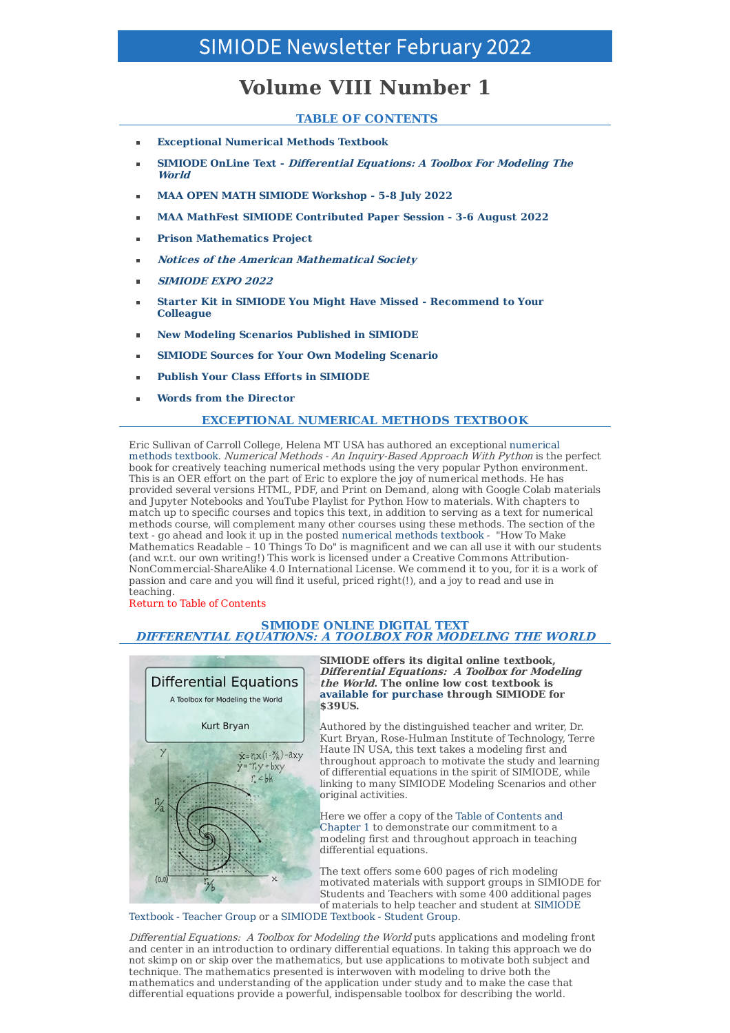# **Volume VIII Number 1**

# **TABLE OF CONTENTS**

- **Exceptional Numerical Methods Textbook**
- **SIMIODE OnLine Text - Differential Equations: A Toolbox For Modeling The World**
- **MAA OPEN MATH SIMIODE Workshop - 5-8 July 2022**
- **MAA MathFest SIMIODE Contributed Paper Session - 3-6 August 2022**
- **Prison Mathematics Project**
- **Notices of the American Mathematical Society**
- **SIMIODE EXPO 2022**
- **Starter Kit in SIMIODE You Might Have Missed - Recommend to Your Colleague**
- **New Modeling Scenarios Published in SIMIODE**
- **SIMIODE Sources for Your Own Modeling Scenario**
- **Publish Your Class Efforts in SIMIODE**
- **Words from the Director**

# **EXCEPTIONAL NUMERICAL METHODS TEXTBOOK**

Eric Sullivan of Carroll College, Helena MT USA has authored an exceptional numerical methods textbook. Numerical Methods - An Inquiry-Based Approach With Python is the perfect book for creatively teaching numerical methods using the very popular Python environment. This is an OER effort on the part of Eric to explore the joy of numerical methods. He has provided several versions HTML, PDF, and Print on Demand, along with Google Colab materials and Jupyter Notebooks and YouTube Playlist for Python How to materials. With chapters to match up to specific courses and topics this text, in addition to serving as a text for numerical methods course, will complement many other courses using these methods. The section of the text - go ahead and look it up in the posted numerical methods textbook - "How To Make Mathematics Readable – 10 Things To Do" is magnificent and we can all use it with our students (and w.r.t. our own writing!) This work is licensed under a Creative Commons Attribution-NonCommercial-ShareAlike 4.0 International License. We commend it to you, for it is a work of passion and care and you will find it useful, priced right(!), and a joy to read and use in teaching.

Return to Table of Contents

## **SIMIODE ONLINE DIGITAL TEXT DIFFERENTIAL EQUATIONS: A TOOLBOX FOR MODELING THE WORLD**



**SIMIODE offers its digital online textbook, Differential Equations: A Toolbox for Modeling the World. The online low cost textbook is available for purchase through SIMIODE for \$39US.**

Authored by the distinguished teacher and writer, Dr. Kurt Bryan, Rose-Hulman Institute of Technology, Terre Haute IN USA, this text takes a modeling first and throughout approach to motivate the study and learning of differential equations in the spirit of SIMIODE, while linking to many SIMIODE Modeling Scenarios and other original activities.

Here we offer a copy of the Table of Contents and Chapter 1 to demonstrate our commitment to a modeling first and throughout approach in teaching differential equations.

The text offers some 600 pages of rich modeling motivated materials with support groups in SIMIODE for Students and Teachers with some 400 additional pages of materials to help teacher and student at SIMIODE

Textbook - Teacher Group or a SIMIODE Textbook - Student Group.

Differential Equations: A Toolbox for Modeling the World puts applications and modeling front and center in an introduction to ordinary differential equations. In taking this approach we do not skimp on or skip over the mathematics, but use applications to motivate both subject and technique. The mathematics presented is interwoven with modeling to drive both the mathematics and understanding of the application under study and to make the case that differential equations provide a powerful, indispensable toolbox for describing the world.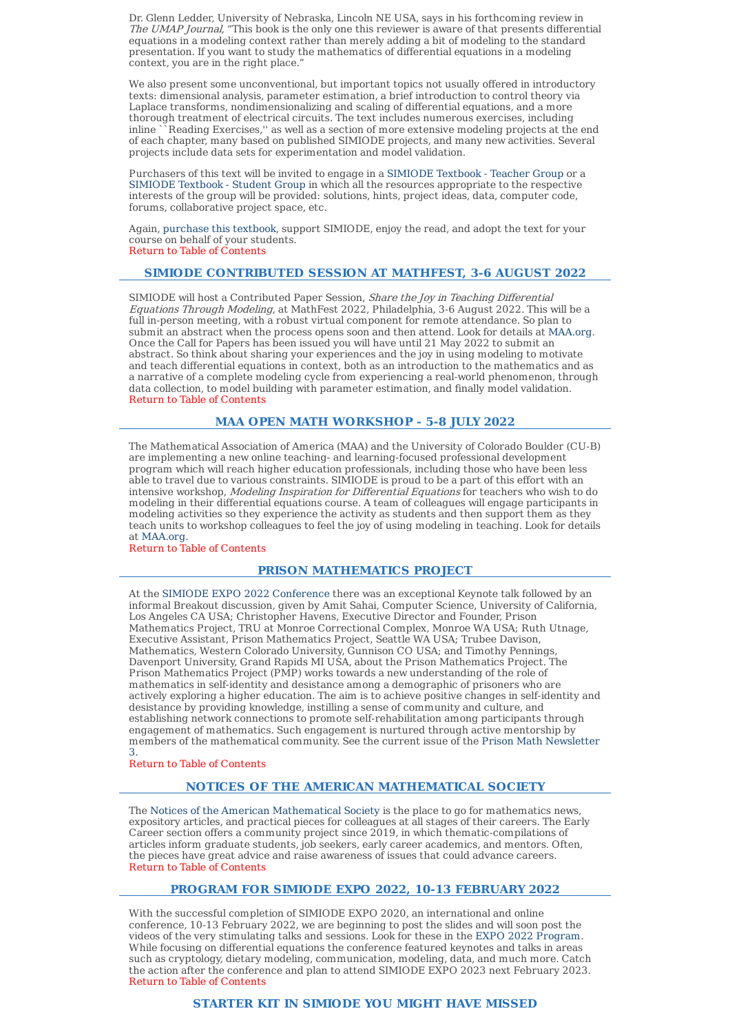Dr. Glenn Ledder, University of Nebraska, Lincoln NE USA, says in his forthcoming review in The UMAP Journal, "This book is the only one this reviewer is aware of that presents differential equations in a modeling context rather than merely adding a bit of modeling to the standard presentation. If you want to study the mathematics of differential equations in a modeling context, you are in the right place."

We also present some unconventional, but important topics not usually offered in introductory texts: dimensional analysis, parameter estimation, a brief introduction to control theory via Laplace transforms, nondimensionalizing and scaling of differential equations, and a more thorough treatment of electrical circuits. The text includes numerous exercises, including inline ``Reading Exercises,'' as well as a section of more extensive modeling projects at the end of each chapter, many based on published SIMIODE projects, and many new activities. Several projects include data sets for experimentation and model validation.

Purchasers of this text will be invited to engage in a SIMIODE Textbook - Teacher Group or a SIMIODE Textbook - Student Group in which all the resources appropriate to the respective interests of the group will be provided: solutions, hints, project ideas, data, computer code, forums, collaborative project space, etc.

Again, purchase this textbook, support SIMIODE, enjoy the read, and adopt the text for your course on behalf of your students. Return to Table of Contents

## **SIMIODE CONTRIBUTED SESSION AT MATHFEST, 3-6 AUGUST 2022**

SIMIODE will host a Contributed Paper Session, Share the Joy in Teaching Differential Equations Through Modeling, at MathFest 2022, Philadelphia, 3-6 August 2022. This will be a full in-person meeting, with a robust virtual component for remote attendance. So plan to submit an abstract when the process opens soon and then attend. Look for details at MAA.org. Once the Call for Papers has been issued you will have until 21 May 2022 to submit an abstract. So think about sharing your experiences and the joy in using modeling to motivate and teach differential equations in context, both as an introduction to the mathematics and as a narrative of a complete modeling cycle from experiencing a real-world phenomenon, through data collection, to model building with parameter estimation, and finally model validation. Return to Table of Contents

## **MAA OPEN MATH WORKSHOP - 5-8 JULY 2022**

The Mathematical Association of America (MAA) and the University of Colorado Boulder (CU-B) are implementing a new online teaching- and learning-focused professional development program which will reach higher education professionals, including those who have been less able to travel due to various constraints. SIMIODE is proud to be a part of this effort with an intensive workshop, Modeling Inspiration for Differential Equations for teachers who wish to do modeling in their differential equations course. A team of colleagues will engage participants in modeling activities so they experience the activity as students and then support them as they teach units to workshop colleagues to feel the joy of using modeling in teaching. Look for details at MAA.org.

#### Return to Table of Contents

#### **PRISON MATHEMATICS PROJECT**

At the SIMIODE EXPO 2022 Conference there was an exceptional Keynote talk followed by an informal Breakout discussion, given by Amit Sahai, Computer Science, University of California, Los Angeles CA USA; Christopher Havens, Executive Director and Founder, Prison Mathematics Project, TRU at Monroe Correctional Complex, Monroe WA USA; Ruth Utnage, Executive Assistant, Prison Mathematics Project, Seattle WA USA; Trubee Davison, Mathematics, Western Colorado University, Gunnison CO USA; and Timothy Pennings, Davenport University, Grand Rapids MI USA, about the Prison Mathematics Project. The Prison Mathematics Project (PMP) works towards a new understanding of the role of mathematics in self-identity and desistance among a demographic of prisoners who are actively exploring a higher education. The aim is to achieve positive changes in self-identity and desistance by providing knowledge, instilling a sense of community and culture, and establishing network connections to promote self-rehabilitation among participants through engagement of mathematics. Such engagement is nurtured through active mentorship by members of the mathematical community. See the current issue of the Prison Math Newsletter 3.

Return to Table of Contents

## **NOTICES OF THE AMERICAN MATHEMATICAL SOCIETY**

The Notices of the American Mathematical Society is the place to go for mathematics news, expository articles, and practical pieces for colleagues at all stages of their careers. The Early Career section offers a community project since 2019, in which thematic-compilations of articles inform graduate students, job seekers, early career academics, and mentors. Often, the pieces have great advice and raise awareness of issues that could advance careers. Return to Table of Contents

## **PROGRAM FOR SIMIODE EXPO 2022, 10-13 FEBRUARY 2022**

With the successful completion of SIMIODE EXPO 2020, an international and online conference, 10-13 February 2022, we are beginning to post the slides and will soon post the videos of the very stimulating talks and sessions. Look for these in the EXPO 2022 Program. While focusing on differential equations the conference featured keynotes and talks in areas such as cryptology, dietary modeling, communication, modeling, data, and much more. Catch the action after the conference and plan to attend SIMIODE EXPO 2023 next February 2023. Return to Table of Contents

## **STARTER KIT IN SIMIODE YOU MIGHT HAVE MISSED**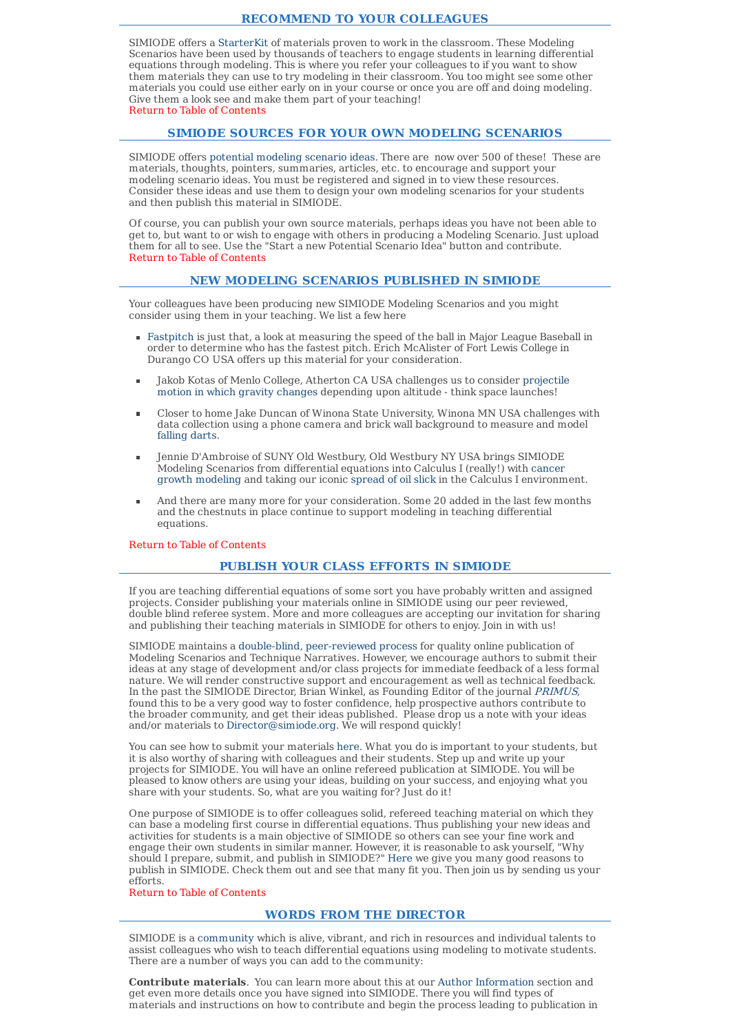## **RECOMMEND TO YOUR COLLEAGUES**

SIMIODE offers a StarterKit of materials proven to work in the classroom. These Modeling Scenarios have been used by thousands of teachers to engage students in learning differential equations through modeling. This is where you refer your colleagues to if you want to show them materials they can use to try modeling in their classroom. You too might see some other materials you could use either early on in your course or once you are off and doing modeling. Give them a look see and make them part of your teaching! Return to Table of Contents

#### **SIMIODE SOURCES FOR YOUR OWN MODELING SCENARIOS**

SIMIODE offers potential modeling scenario ideas. There are now over 500 of these! These are materials, thoughts, pointers, summaries, articles, etc. to encourage and support your modeling scenario ideas. You must be registered and signed in to view these resources. Consider these ideas and use them to design your own modeling scenarios for your students and then publish this material in SIMIODE.

Of course, you can publish your own source materials, perhaps ideas you have not been able to get to, but want to or wish to engage with others in producing a Modeling Scenario. Just upload them for all to see. Use the "Start a new Potential Scenario Idea" button and contribute. Return to Table of Contents

## **NEW MODELING SCENARIOS PUBLISHED IN SIMIODE**

Your colleagues have been producing new SIMIODE Modeling Scenarios and you might consider using them in your teaching. We list a few here

- Fastpitch is just that, a look at measuring the speed of the ball in Major League Baseball in order to determine who has the fastest pitch. Erich McAlister of Fort Lewis College in Durango CO USA offers up this material for your consideration.
- Jakob Kotas of Menlo College, Atherton CA USA challenges us to consider projectile motion in which gravity changes depending upon altitude - think space launches!
- Closer to home Jake Duncan of Winona State University, Winona MN USA challenges with data collection using a phone camera and brick wall background to measure and model falling darts.
- Jennie D'Ambroise of SUNY Old Westbury, Old Westbury NY USA brings SIMIODE Modeling Scenarios from differential equations into Calculus I (really!) with cancer growth modeling and taking our iconic spread of oil slick in the Calculus I environment.
- And there are many more for your consideration. Some 20 added in the last few months and the chestnuts in place continue to support modeling in teaching differential equations.

#### Return to Table of Contents

# **PUBLISH YOUR CLASS EFFORTS IN SIMIODE**

If you are teaching differential equations of some sort you have probably written and assigned projects. Consider publishing your materials online in SIMIODE using our peer reviewed, double blind referee system. More and more colleagues are accepting our invitation for sharing and publishing their teaching materials in SIMIODE for others to enjoy. Join in with us!

SIMIODE maintains a double-blind, peer-reviewed process for quality online publication of Modeling Scenarios and Technique Narratives. However, we encourage authors to submit their ideas at any stage of development and/or class projects for immediate feedback of a less formal nature. We will render constructive support and encouragement as well as technical feedback. In the past the SIMIODE Director, Brian Winkel, as Founding Editor of the journal PRIMUS, found this to be a very good way to foster confidence, help prospective authors contribute to the broader community, and get their ideas published. Please drop us a note with your ideas and/or materials to Director@simiode.org. We will respond quickly!

You can see how to submit your materials here. What you do is important to your students, but it is also worthy of sharing with colleagues and their students. Step up and write up your projects for SIMIODE. You will have an online refereed publication at SIMIODE. You will be pleased to know others are using your ideas, building on your success, and enjoying what you share with your students. So, what are you waiting for? Just do it!

One purpose of SIMIODE is to offer colleagues solid, refereed teaching material on which they can base a modeling first course in differential equations. Thus publishing your new ideas and activities for students is a main objective of SIMIODE so others can see your fine work and engage their own students in similar manner. However, it is reasonable to ask yourself, "Why should I prepare, submit, and publish in SIMIODE?" Here we give you many good reasons to publish in SIMIODE. Check them out and see that many fit you. Then join us by sending us your efforts.

#### Return to Table of Contents

#### **WORDS FROM THE DIRECTOR**

SIMIODE is a community which is alive, vibrant, and rich in resources and individual talents to assist colleagues who wish to teach differential equations using modeling to motivate students. There are a number of ways you can add to the community:

**Contribute materials**. You can learn more about this at our Author Information section and get even more details once you have signed into SIMIODE. There you will find types of materials and instructions on how to contribute and begin the process leading to publication in